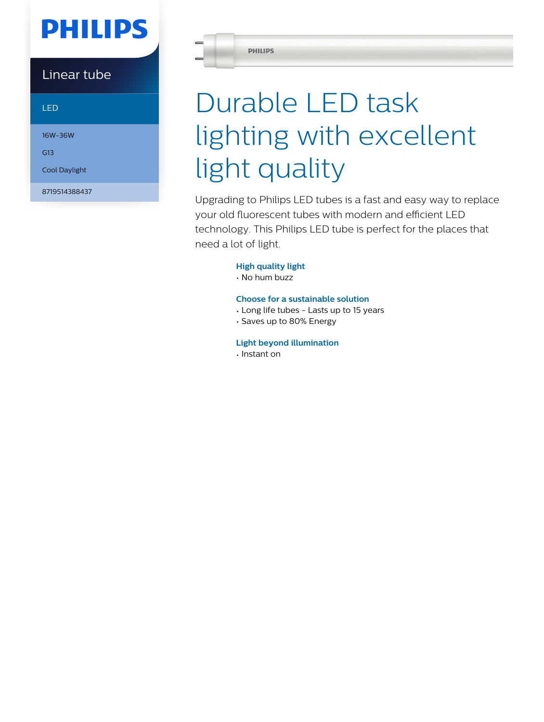## **PHILIPS**

### Linear tube

LED

16W-36W

G13

Cool Daylight

8719514388437

**PHILIPS** 

# Durable LED task lighting with excellent light quality

Upgrading to Philips LED tubes is a fast and easy way to replace your old fluorescent tubes with modern and efficient LED technology. This Philips LED tube is perfect for the places that need a lot of light.

#### **High quality light**

• No hum buzz

#### **Choose for a sustainable solution**

- Long life tubes Lasts up to 15 years
- Saves up to 80% Energy

#### **Light beyond illumination**

• Instant on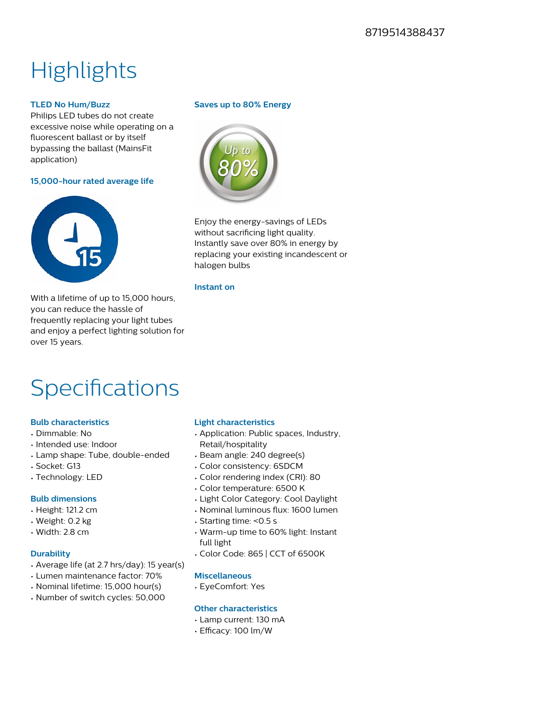### **Highlights**

#### **TLED No Hum/Buzz**

Philips LED tubes do not create excessive noise while operating on a fluorescent ballast or by itself bypassing the ballast (MainsFit application)

#### **15,000-hour rated average life**



With a lifetime of up to 15,000 hours, you can reduce the hassle of frequently replacing your light tubes and enjoy a perfect lighting solution for over 15 years.

#### **Saves up to 80% Energy**



Enjoy the energy-savings of LEDs without sacrificing light quality. Instantly save over 80% in energy by replacing your existing incandescent or halogen bulbs

#### **Instant on**

### **Specifications**

#### **Bulb characteristics**

- Dimmable: No
- Intended use: Indoor
- Lamp shape: Tube, double-ended
- Socket: G13
- Technology: LED

#### **Bulb dimensions**

- Height: 121.2 cm
- Weight: 0.2 kg
- Width: 2.8 cm

#### **Durability**

- Average life (at 2.7 hrs/day): 15 year(s)
- Lumen maintenance factor: 70%
- Nominal lifetime: 15,000 hour(s)
- Number of switch cycles: 50,000

#### **Light characteristics**

- Application: Public spaces, Industry, Retail/hospitality
- Beam angle: 240 degree(s)
- Color consistency: 6SDCM
- Color rendering index (CRI): 80
- Color temperature: 6500 K
- Light Color Category: Cool Daylight
- Nominal luminous flux: 1600 lumen
- Starting time: <0.5 s
- Warm-up time to 60% light: Instant full light
- Color Code: 865 | CCT of 6500K

#### **Miscellaneous**

• EyeComfort: Yes

#### **Other characteristics**

- Lamp current: 130 mA
- Efficacy: 100 lm/W